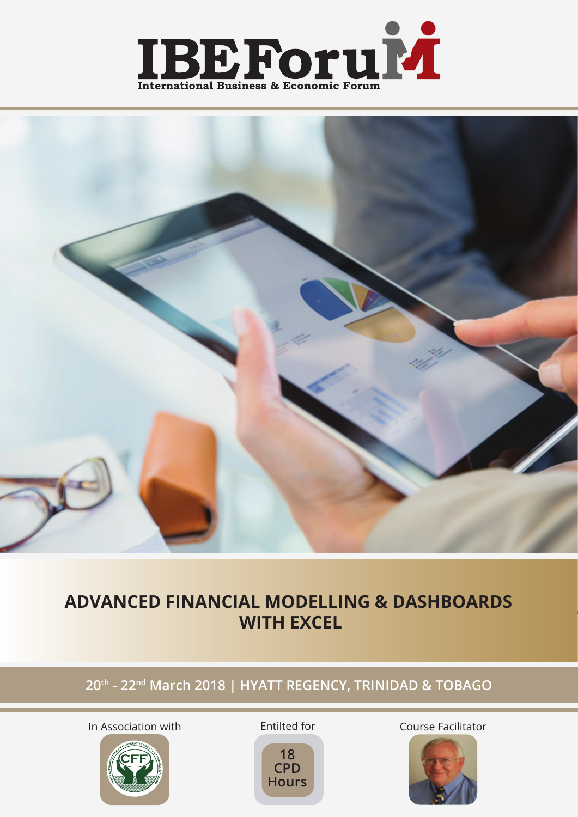



## **ADVANCED FINANCIAL MODELLING & DASHBOARDS WITH EXCEL**

### **20th - 22nd March 2018 | HYATT REGENCY, TRINIDAD & TOBAGO**



Entilted for



In Association with **Entillied for** Course Facilitator

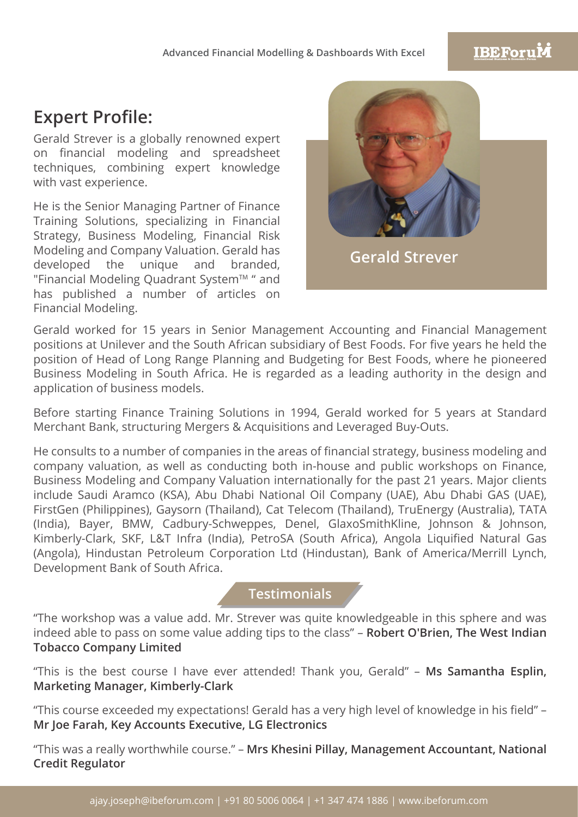### **IBEForuM**

## **Expert Profile:**

Gerald Strever is a globally renowned expert on financial modeling and spreadsheet techniques, combining expert knowledge with vast experience.

He is the Senior Managing Partner of Finance Training Solutions, specializing in Financial Strategy, Business Modeling, Financial Risk Modeling and Company Valuation. Gerald has developed the unique and branded, "Financial Modeling Quadrant System™ " and has published a number of articles on Financial Modeling.



Gerald worked for 15 years in Senior Management Accounting and Financial Management positions at Unilever and the South African subsidiary of Best Foods. For five years he held the position of Head of Long Range Planning and Budgeting for Best Foods, where he pioneered Business Modeling in South Africa. He is regarded as a leading authority in the design and application of business models.

Before starting Finance Training Solutions in 1994, Gerald worked for 5 years at Standard Merchant Bank, structuring Mergers & Acquisitions and Leveraged Buy-Outs.

He consults to a number of companies in the areas of financial strategy, business modeling and company valuation, as well as conducting both in-house and public workshops on Finance, Business Modeling and Company Valuation internationally for the past 21 years. Major clients include Saudi Aramco (KSA), Abu Dhabi National Oil Company (UAE), Abu Dhabi GAS (UAE), FirstGen (Philippines), Gaysorn (Thailand), Cat Telecom (Thailand), TruEnergy (Australia), TATA (India), Bayer, BMW, Cadbury-Schweppes, Denel, GlaxoSmithKline, Johnson & Johnson, Kimberly-Clark, SKF, L&T Infra (India), PetroSA (South Africa), Angola Liquified Natural Gas (Angola), Hindustan Petroleum Corporation Ltd (Hindustan), Bank of America/Merrill Lynch, Development Bank of South Africa.

### **Testimonials**

"The workshop was a value add. Mr. Strever was quite knowledgeable in this sphere and was indeed able to pass on some value adding tips to the class" – **Robert O'Brien, The West Indian Tobacco Company Limited**

"This is the best course I have ever attended! Thank you, Gerald" – **Ms Samantha Esplin, Marketing Manager, Kimberly-Clark**

"This course exceeded my expectations! Gerald has a very high level of knowledge in his field" – **Mr Joe Farah, Key Accounts Executive, LG Electronics**

"This was a really worthwhile course." – **Mrs Khesini Pillay, Management Accountant, National Credit Regulator**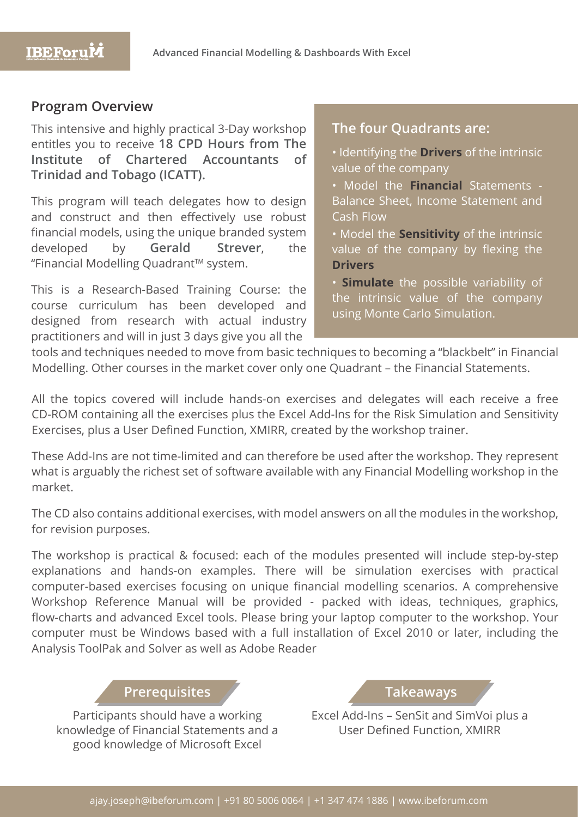### **Program Overview**

This intensive and highly practical 3-Day workshop entitles you to receive **18 CPD Hours from The Institute of Chartered Accountants of Trinidad and Tobago (ICATT).** 

This program will teach delegates how to design and construct and then effectively use robust financial models, using the unique branded system developed by **Gerald Strever**, the "Financial Modelling Quadrant™ system.

This is a Research-Based Training Course: the course curriculum has been developed and designed from research with actual industry practitioners and will in just 3 days give you all the

### **The four Quadrants are:**

• Identifying the **Drivers** of the intrinsic value of the company

• Model the **Financial** Statements - Balance Sheet, Income Statement and Cash Flow

• Model the **Sensitivity** of the intrinsic value of the company by flexing the **Drivers**

• **Simulate** the possible variability of the intrinsic value of the company using Monte Carlo Simulation.

tools and techniques needed to move from basic techniques to becoming a "blackbelt" in Financial Modelling. Other courses in the market cover only one Quadrant – the Financial Statements.

All the topics covered will include hands-on exercises and delegates will each receive a free CD-ROM containing all the exercises plus the Excel Add-lns for the Risk Simulation and Sensitivity Exercises, plus a User Defined Function, XMIRR, created by the workshop trainer.

These Add-Ins are not time-limited and can therefore be used after the workshop. They represent what is arguably the richest set of software available with any Financial Modelling workshop in the market.

The CD also contains additional exercises, with model answers on all the modules in the workshop, for revision purposes.

The workshop is practical & focused: each of the modules presented will include step-by-step explanations and hands-on examples. There will be simulation exercises with practical computer-based exercises focusing on unique financial modelling scenarios. A comprehensive Workshop Reference Manual will be provided - packed with ideas, techniques, graphics, flow-charts and advanced Excel tools. Please bring your laptop computer to the workshop. Your computer must be Windows based with a full installation of Excel 2010 or later, including the Analysis ToolPak and Solver as well as Adobe Reader

### **Prerequisites Takeaways**

Participants should have a working knowledge of Financial Statements and a good knowledge of Microsoft Excel

Excel Add-Ins – SenSit and SimVoi plus a User Defined Function, XMIRR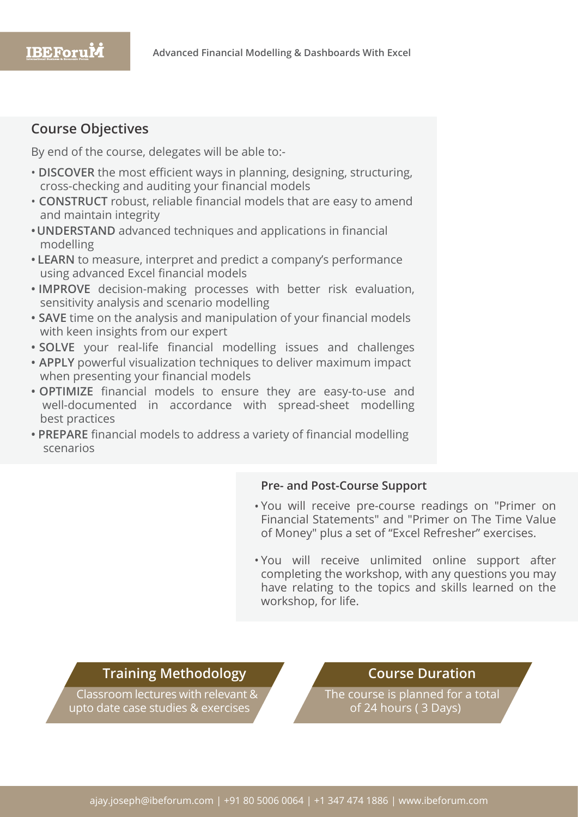### **Course Objectives**

By end of the course, delegates will be able to:-

- **DISCOVER** the most efficient ways in planning, designing, structuring, cross-checking and auditing your financial models
- **CONSTRUCT** robust, reliable financial models that are easy to amend and maintain integrity
- **•UNDERSTAND** advanced techniques and applications in financial modelling
- **• LEARN** to measure, interpret and predict a company's performance using advanced Excel financial models
- **• IMPROVE** decision-making processes with better risk evaluation, sensitivity analysis and scenario modelling
- **• SAVE** time on the analysis and manipulation of your financial models with keen insights from our expert
- **• SOLVE** your real-life financial modelling issues and challenges
- **• APPLY** powerful visualization techniques to deliver maximum impact when presenting your financial models
- **• OPTIMIZE** financial models to ensure they are easy-to-use and well-documented in accordance with spread-sheet modelling best practices
- **• PREPARE** financial models to address a variety of financial modelling scenarios

### **Pre- and Post-Course Support**

- You will receive pre-course readings on "Primer on Financial Statements" and "Primer on The Time Value of Money" plus a set of "Excel Refresher" exercises.
- . You will receive unlimited online support after completing the workshop, with any questions you may have relating to the topics and skills learned on the workshop, for life.

### **Training Methodology**

Classroom lectures with relevant & upto date case studies & exercises

### **Course Duration**

The course is planned for a total of 24 hours ( 3 Days)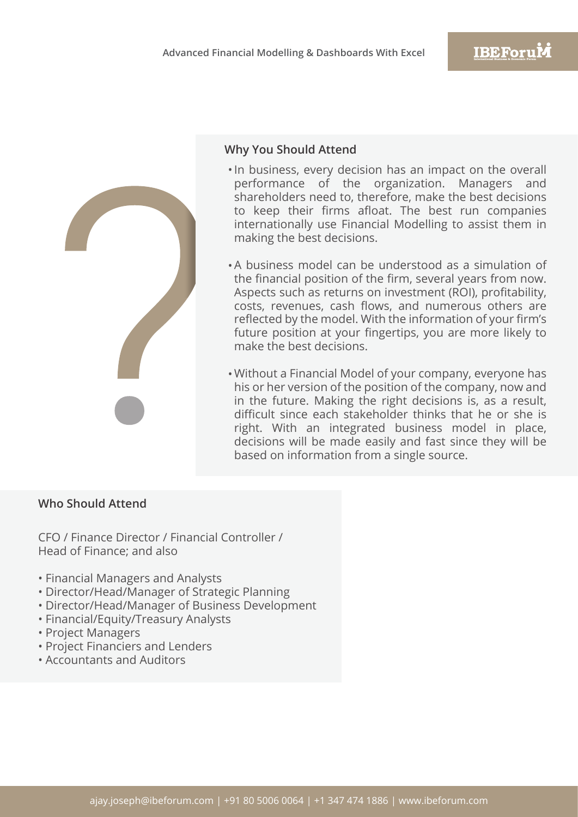

### **Why You Should Attend**

- In business, every decision has an impact on the overall performance of the organization. Managers and shareholders need to, therefore, make the best decisions to keep their firms afloat. The best run companies internationally use Financial Modelling to assist them in making the best decisions.
- A business model can be understood as a simulation of the financial position of the firm, several years from now. Aspects such as returns on investment (ROI), profitability, costs, revenues, cash flows, and numerous others are reflected by the model. With the information of your firm's future position at your fingertips, you are more likely to make the best decisions.
- Without a Financial Model of your company, everyone has his or her version of the position of the company, now and in the future. Making the right decisions is, as a result, difficult since each stakeholder thinks that he or she is right. With an integrated business model in place, decisions will be made easily and fast since they will be based on information from a single source.

### **Who Should Attend**

CFO / Finance Director / Financial Controller / Head of Finance; and also

- Financial Managers and Analysts
- Director/Head/Manager of Strategic Planning
- Director/Head/Manager of Business Development
- Financial/Equity/Treasury Analysts
- Project Managers
- Project Financiers and Lenders
- Accountants and Auditors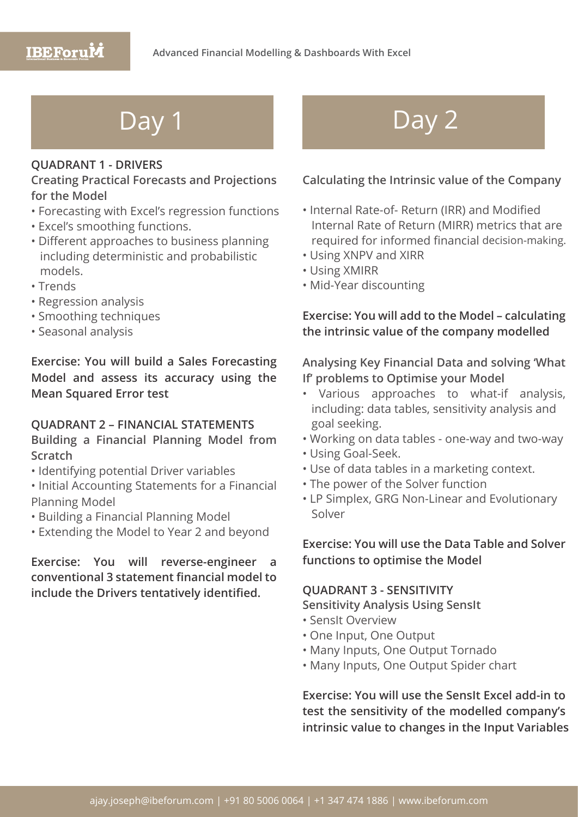## **IBEForuM**

### **QUADRANT 1 - DRIVERS**

### **Creating Practical Forecasts and Projections for the Model**

- Forecasting with Excel's regression functions
- Excel's smoothing functions.
- Different approaches to business planning including deterministic and probabilistic models.
- Trends
- Regression analysis
- Smoothing techniques
- Seasonal analysis

**Exercise: You will build a Sales Forecasting Model and assess its accuracy using the Mean Squared Error test**

### **QUADRANT 2 – FINANCIAL STATEMENTS Building a Financial Planning Model from**

**Scratch**

- Identifying potential Driver variables
- Initial Accounting Statements for a Financial Planning Model
- Building a Financial Planning Model
- Extending the Model to Year 2 and beyond

**Exercise: You will reverse-engineer a conventional 3 statement financial model to include the Drivers tentatively identified.**

# Day 1 Day 2

### **Calculating the Intrinsic value of the Company**

- Internal Rate-of- Return (IRR) and Modified Internal Rate of Return (MIRR) metrics that are required for informed financial decision-making.
- Using XNPV and XIRR
- Using XMIRR
- Mid-Year discounting

### **Exercise: You will add to the Model – calculating the intrinsic value of the company modelled**

**Analysing Key Financial Data and solving 'What If' problems to Optimise your Model**

- Various approaches to what-if analysis, including: data tables, sensitivity analysis and goal seeking.
- Working on data tables one-way and two-way
- Using Goal-Seek.
- Use of data tables in a marketing context.
- The power of the Solver function
- LP Simplex, GRG Non-Linear and Evolutionary Solver

**Exercise: You will use the Data Table and Solver functions to optimise the Model**

### **QUADRANT 3 - SENSITIVITY**

**Sensitivity Analysis Using SensIt**

- SensIt Overview
- One Input, One Output
- Many Inputs, One Output Tornado
- Many Inputs, One Output Spider chart

**Exercise: You will use the SensIt Excel add-in to test the sensitivity of the modelled company's intrinsic value to changes in the Input Variables**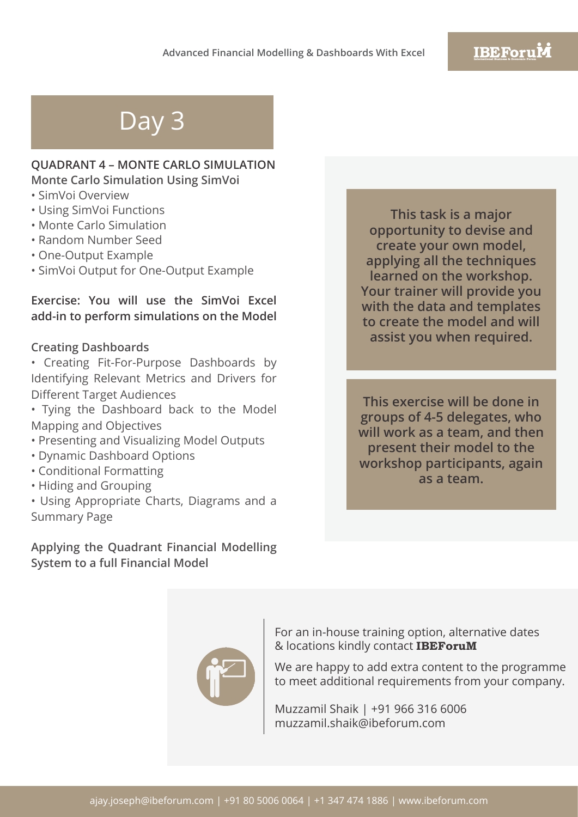# Day 3

### **QUADRANT 4 – MONTE CARLO SIMULATION Monte Carlo Simulation Using SimVoi**

- SimVoi Overview
- Using SimVoi Functions
- Monte Carlo Simulation
- Random Number Seed
- One-Output Example
- SimVoi Output for One-Output Example

### **Exercise: You will use the SimVoi Excel add-in to perform simulations on the Model**

### **Creating Dashboards**

- Creating Fit-For-Purpose Dashboards by Identifying Relevant Metrics and Drivers for Different Target Audiences
- Tying the Dashboard back to the Model Mapping and Objectives
- Presenting and Visualizing Model Outputs
- Dynamic Dashboard Options
- Conditional Formatting
- Hiding and Grouping
- Using Appropriate Charts, Diagrams and a Summary Page

**Applying the Quadrant Financial Modelling System to a full Financial Model**

**This task is a major opportunity to devise and create your own model, applying all the techniques learned on the workshop. Your trainer will provide you with the data and templates to create the model and will assist you when required.**

**This exercise will be done in groups of 4-5 delegates, who will work as a team, and then present their model to the workshop participants, again as a team.**



For an in-house training option, alternative dates & locations kindly contact **IBEForuM**

We are happy to add extra content to the programme to meet additional requirements from your company.

Muzzamil Shaik | +91 966 316 6006 muzzamil.shaik@ibeforum.com